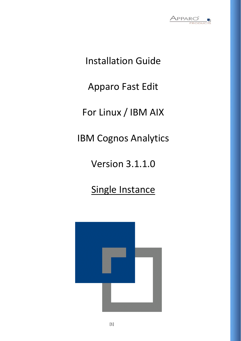

Installation Guide

Apparo Fast Edit

For Linux / IBM AIX

IBM Cognos Analytics

Version 3.1.1.0

Single Instance

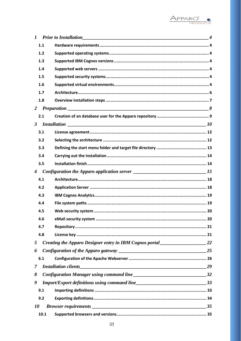

| $\bm{l}$         |      |                                                                                     |  |
|------------------|------|-------------------------------------------------------------------------------------|--|
|                  | 1.1  |                                                                                     |  |
|                  | 1.2  |                                                                                     |  |
|                  | 1.3  |                                                                                     |  |
|                  | 1.4  |                                                                                     |  |
|                  | 1.5  |                                                                                     |  |
|                  | 1.6  |                                                                                     |  |
|                  | 1.7  |                                                                                     |  |
|                  | 1.8  |                                                                                     |  |
| $\overline{2}$   |      |                                                                                     |  |
|                  | 2.1  |                                                                                     |  |
| $\mathbf{3}$     |      |                                                                                     |  |
|                  | 3.1  |                                                                                     |  |
|                  | 3.2  |                                                                                     |  |
|                  | 3.3  |                                                                                     |  |
|                  | 3.4  |                                                                                     |  |
|                  | 3.5  |                                                                                     |  |
| $\boldsymbol{4}$ |      |                                                                                     |  |
|                  | 4.1  |                                                                                     |  |
|                  | 4.2  |                                                                                     |  |
|                  | 4.3  |                                                                                     |  |
|                  | 4.4  |                                                                                     |  |
|                  | 4.5  |                                                                                     |  |
|                  | 4.6  |                                                                                     |  |
|                  | 4.7  |                                                                                     |  |
|                  | 4.8  |                                                                                     |  |
| 5                |      | Creating the Apparo Designer entry in IBM Cognos portal _________________________22 |  |
| 6                |      |                                                                                     |  |
|                  | 6.1  |                                                                                     |  |
| $\mathcal{I}$    |      |                                                                                     |  |
| 8                |      |                                                                                     |  |
| 9                |      |                                                                                     |  |
|                  | 9.1  |                                                                                     |  |
|                  | 9.2  |                                                                                     |  |
| <i>10</i>        |      |                                                                                     |  |
|                  | 10.1 |                                                                                     |  |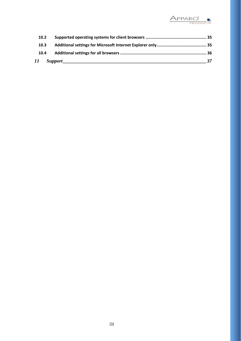

| 10.2 |                |
|------|----------------|
| 10.3 |                |
| 10.4 |                |
|      | $\frac{37}{2}$ |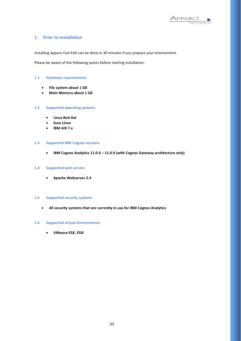

#### **1 Prior to Installation**

Installing Apparo Fast Edit can be done in 30 minutes if you prepare your environment.

Please be aware of the following points before starting installation:

#### **1.1 Hardware requirements**

- **File system about 1 GB**
- **Main Memory about 1 GB**

#### **1.2 Supported operating systems**

- **Linux Red Hat**
- **Suse Linux**
- **IBM AIX 7.x**

#### **1.3 Supported IBM Cognos versions**

• **IBM Cognos Analytics 11.0.6 – 11.0.9 (with Cognos Gateway architecture only)**

#### **1.4 Supported web servers**

• **Apache Webserver 2.4** 

#### **1.5 Supported security systems**

• **All security systems that are currently in use for IBM Cognos Analytics**

#### **1.6 Supported virtual environments**

• **VMware ESX, ESXi**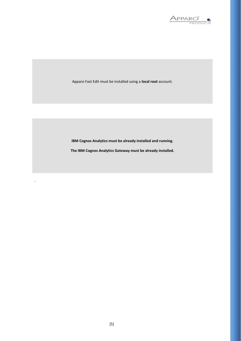

Apparo Fast Edit must be installed using a **local root** account.

**IBM Cognos Analytics must be already installed and running.**

**The IBM Cognos Analytics Gateway must be already installed.**

.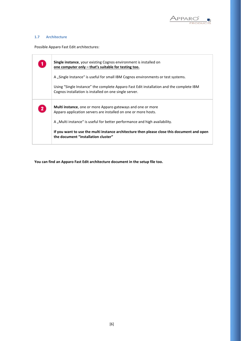

#### **1.7 Architecture**

Possible Apparo Fast Edit architectures:

|              | <b>Single instance</b> , your existing Cognos environment is installed on<br>one computer only – that's suitable for testing too.                 |
|--------------|---------------------------------------------------------------------------------------------------------------------------------------------------|
|              | A "Single Instance" is useful for small IBM Cognos environments or test systems.                                                                  |
|              | Using "Single Instance" the complete Apparo Fast Edit installation and the complete IBM<br>Cognos installation is installed on one single server. |
| $\mathbf{2}$ | <b>Multi instance</b> , one or more Apparo gateways and one or more<br>Apparo application servers are installed on one or more hosts.             |
|              | A "Multi instance" is useful for better performance and high availability.                                                                        |
|              | If you want to use the multi instance architecture then please close this document and open<br>the document "installation cluster"                |

**You can find an Apparo Fast Edit architecture document in the setup file too.**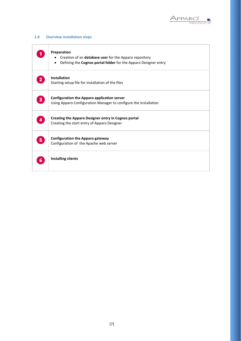

## **1.8 Overview installation steps**

| Preparation<br>Creation of an database user for the Apparo repository<br>Defining the Cognos portal folder for the Apparo Designer entry<br>$\bullet$ |
|-------------------------------------------------------------------------------------------------------------------------------------------------------|
| <b>Installation</b><br>Starting setup file for installation of the files                                                                              |
| <b>Configuration the Apparo application server</b><br>Using Apparo Configuration Manager to configure the installation                                |
| Creating the Apparo Designer entry in Cognos portal<br>Creating the start entry of Apparo Designer                                                    |
| <b>Configuration the Apparo gateway</b><br>Configuration of the Apache web server                                                                     |
| <b>Installing clients</b>                                                                                                                             |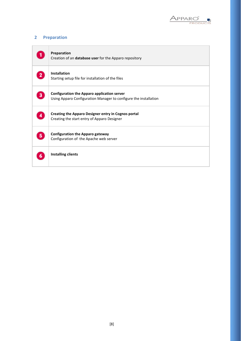

## **2 Preparation**

|   | Preparation<br>Creation of an database user for the Apparo repository                                                  |
|---|------------------------------------------------------------------------------------------------------------------------|
|   | <b>Installation</b><br>Starting setup file for installation of the files                                               |
| 3 | <b>Configuration the Apparo application server</b><br>Using Apparo Configuration Manager to configure the installation |
|   | <b>Creating the Apparo Designer entry in Cognos portal</b><br>Creating the start entry of Apparo Designer              |
| 5 | <b>Configuration the Apparo gateway</b><br>Configuration of the Apache web server                                      |
|   | <b>Installing clients</b>                                                                                              |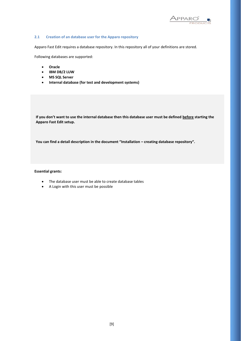

#### **2.1 Creation of an database user for the Apparo repository**

Apparo Fast Edit requires a database repository. In this repository all of your definitions are stored.

Following databases are supported:

- **Oracle**
- **IBM DB/2 LUW**
- **MS SQL Server**
- **Internal database (for test and development systems)**

**If you don't want to use the internal database then this database user must be defined before starting the Apparo Fast Edit setup.**

**You can find a detail description in the document "Installation – creating database repository".**

#### **Essential grants:**

- The database user must be able to create database tables
- A Login with this user must be possible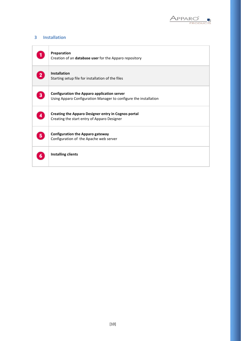

## **3 Installation**

|   | Preparation<br>Creation of an <b>database user</b> for the Apparo repository                                           |
|---|------------------------------------------------------------------------------------------------------------------------|
|   | <b>Installation</b><br>Starting setup file for installation of the files                                               |
| 3 | <b>Configuration the Apparo application server</b><br>Using Apparo Configuration Manager to configure the installation |
|   | <b>Creating the Apparo Designer entry in Cognos portal</b><br>Creating the start entry of Apparo Designer              |
| 5 | <b>Configuration the Apparo gateway</b><br>Configuration of the Apache web server                                      |
|   | <b>Installing clients</b>                                                                                              |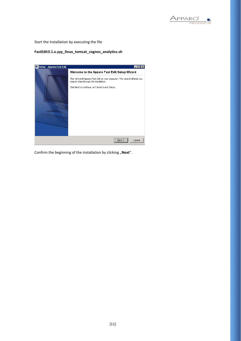

Start the Installation by executing the file

#### **FastEdit3.1.x.yyy\_linux\_tomcat\_cognos\_analytics.sh**



Confirm the beginning of the installation by clicking "Next".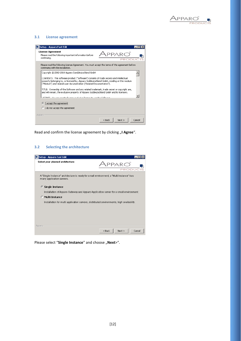

#### **3.1 License agreement**



Read and confirm the license agreement by clicking "I Agree".

#### **3.2 Selecting the architecture**

| Setup - Apparo Fast Edit                                                                                             |                            |
|----------------------------------------------------------------------------------------------------------------------|----------------------------|
| Select your planned architecture<br>٠                                                                                | PRODL                      |
| A "Single Instance" architecture is ready for small environment, a "Multi Instance" has<br>many application servers. |                            |
| <b>Single Instance</b><br>G.                                                                                         |                            |
| Installation of Apparo Gateway and Apparo Application server for a small environment.                                |                            |
| <b>C</b> Multi Instance                                                                                              |                            |
| Installation for multi application servers, distributed environments, high availability.                             |                            |
|                                                                                                                      |                            |
|                                                                                                                      |                            |
|                                                                                                                      |                            |
|                                                                                                                      |                            |
| Apparo                                                                                                               | $<$ Back<br>Next<br>Cancel |

Please select "Single Instance" and choose "Next>".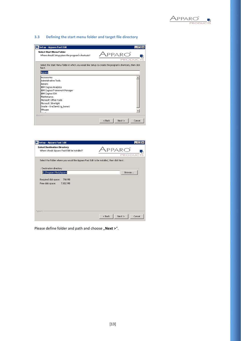

#### **3.3 Defining the start menu folder and target file directory**



| Setup - Apparo Fast Edit                                                                  |                                                  |
|-------------------------------------------------------------------------------------------|--------------------------------------------------|
| <b>Select Destination Directory</b><br>Where should Apparo Fast Edit be installed?        | $\overline{P}$ AR $\overline{O}$<br><b>PRODU</b> |
| Select the folder where you would like Apparo Fast Edit to be installed, then click Next. |                                                  |
| Destination directory                                                                     |                                                  |
| C:\Program Files\Apparo                                                                   | Browse                                           |
| Required disk space:<br>798 MB                                                            |                                                  |
| Free disk space:<br>7,802 MB                                                              |                                                  |
|                                                                                           |                                                  |
|                                                                                           |                                                  |
|                                                                                           |                                                  |
|                                                                                           |                                                  |
|                                                                                           |                                                  |
| Apparo                                                                                    |                                                  |
|                                                                                           | Cancel<br>$<$ Back<br>Next                       |

Please define folder and path and choose "Next >".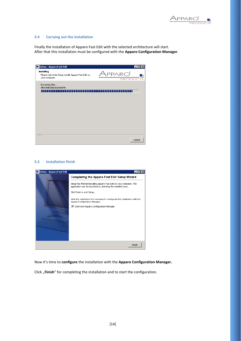

#### **3.4 Carrying out the installation**

Finally the installation of Apparo Fast Edit with the selected architecture will start. After that this installation must be configured with the **Apparo Configuration Manager**.

| Setup - Apparo Fast Edit<br>L.                                                       | H                                  |
|--------------------------------------------------------------------------------------|------------------------------------|
| Installing<br>Please wait while Setup installs Apparo Fast Edit on<br>your computer. | $PPARCO^{\degree}$<br><b>PRODU</b> |
| Extracting files<br>jdk\jre\lib\zi\Europe\Berlin<br>- 11<br>.                        | Т                                  |
|                                                                                      |                                    |
|                                                                                      |                                    |
|                                                                                      |                                    |
|                                                                                      |                                    |
| Apparo                                                                               |                                    |
|                                                                                      | Cancel                             |

#### **3.5 Installation finish**



Now it's time to **configure** the installation with the **Apparo Configuration Manager.** 

Click "Finish" for completing the installation and to start the configuration.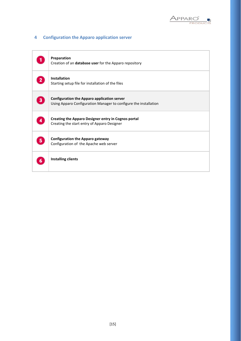

## **4 Configuration the Apparo application server**

|   | Preparation<br>Creation of an database user for the Apparo repository                                                  |
|---|------------------------------------------------------------------------------------------------------------------------|
|   | <b>Installation</b><br>Starting setup file for installation of the files                                               |
| 3 | <b>Configuration the Apparo application server</b><br>Using Apparo Configuration Manager to configure the installation |
|   | Creating the Apparo Designer entry in Cognos portal<br>Creating the start entry of Apparo Designer                     |
| 5 | <b>Configuration the Apparo gateway</b><br>Configuration of the Apache web server                                      |
|   | <b>Installing clients</b>                                                                                              |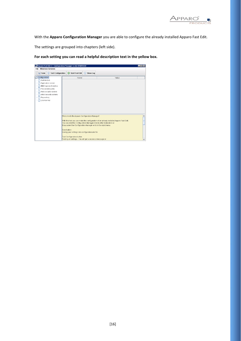

With the **Apparo Configuration Manager** you are able to configure the already installed Apparo Fast Edit.

The settings are grouped into chapters (left side).

**For each setting you can read a helpful description text in the yellow box.**

| Apparo Fast Edit 3 - Configuration Manager 3.163-5NAPSHOT<br><b>File Windows Services</b>                                                                                     |                                                                                                                                                            |               |                                                                                         | $ \blacksquare$ |
|-------------------------------------------------------------------------------------------------------------------------------------------------------------------------------|------------------------------------------------------------------------------------------------------------------------------------------------------------|---------------|-----------------------------------------------------------------------------------------|-----------------|
| Save<br>C Test Configuration                                                                                                                                                  | <b>Start Fast Edit</b><br>O                                                                                                                                | Show Log<br>⋒ |                                                                                         |                 |
| Configuration<br>Architecture<br>Application server<br>IBM Cognos Analytics<br>File system paths<br>Web security system<br>eMail security system<br>Repository<br>License kev | Name                                                                                                                                                       |               | Value                                                                                   |                 |
|                                                                                                                                                                               | Welcome to the Apparo Configuration Manager!                                                                                                               |               |                                                                                         | ▴               |
|                                                                                                                                                                               | You can start the Configuration Manager directly after installation or<br>lif you select the Configuration Manager entry in the start menu.                |               | With this tool you can make the configuration of an already installed Apparo Fast Edit. |                 |
|                                                                                                                                                                               | Save button:<br>Saving your settings into configuration xml file<br>Test Configuration button:<br>Testing all settings - You will get a success message or |               |                                                                                         | ٠               |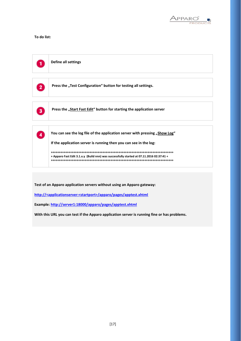

#### **To do list:**



**Test of an Apparo application servers without using an Apparo gateway:**

**http://<applicationserver:<startport>/apparo/pages/apptest.xhtml**

**Example[: http://server1:18000/apparo/pages/apptest.xhtml](http://server1:18000/KFE/pages/apptest.xhtml)**

**With this URL you can test if the Apparo application server is running fine or has problems.**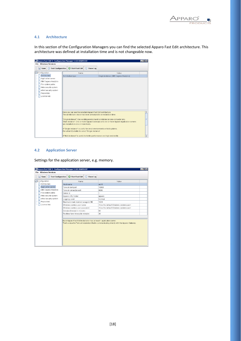

#### **4.1 Architecture**

In this section of the Configuration Managers you can find the selected Apparo Fast Edit architecture. This architecture was defined at installation time and is not changeable now.

| Apparo Fast Edit 3 - Configuration Manager 3.163-SNAPSHOT<br>$ \Box$ $\times$ |                                                                            |               |                                                                                          |  |  |  |
|-------------------------------------------------------------------------------|----------------------------------------------------------------------------|---------------|------------------------------------------------------------------------------------------|--|--|--|
| <b>File Windows Services</b>                                                  |                                                                            |               |                                                                                          |  |  |  |
| <b>Save</b><br>C Test Configuration                                           | <b>Start Fast Edit</b><br>$\Omega$                                         | Show Log<br>ω |                                                                                          |  |  |  |
| Configuration                                                                 | Name                                                                       |               | Value                                                                                    |  |  |  |
| Architecture                                                                  | Architecture type                                                          |               | Single instance (IBM Cognos Analytics)                                                   |  |  |  |
| Application server                                                            |                                                                            |               |                                                                                          |  |  |  |
| IBM Cognos Analytics<br>File system paths                                     |                                                                            |               |                                                                                          |  |  |  |
| Web security system                                                           |                                                                            |               |                                                                                          |  |  |  |
| eMail security system                                                         |                                                                            |               |                                                                                          |  |  |  |
| Repository                                                                    |                                                                            |               |                                                                                          |  |  |  |
| License key                                                                   |                                                                            |               |                                                                                          |  |  |  |
|                                                                               |                                                                            |               |                                                                                          |  |  |  |
|                                                                               |                                                                            |               |                                                                                          |  |  |  |
|                                                                               |                                                                            |               |                                                                                          |  |  |  |
|                                                                               |                                                                            |               |                                                                                          |  |  |  |
|                                                                               | Here you can see the selected Apparo Fast Edit architecture.               |               |                                                                                          |  |  |  |
|                                                                               | The architecture choice has been already done at installation time.        |               |                                                                                          |  |  |  |
|                                                                               |                                                                            |               | "Single instance": Your existing environment is installed on one computer only.          |  |  |  |
|                                                                               |                                                                            |               | "Multi instance": One or more Apparo Gateways and one or more Apparo Application servers |  |  |  |
|                                                                               | are installed on one or more bosts                                         |               |                                                                                          |  |  |  |
|                                                                               | A "Single instance" is useful for small environments or test systems.      |               |                                                                                          |  |  |  |
|                                                                               | For a trial itDs better to select "Single Instance".                       |               |                                                                                          |  |  |  |
|                                                                               | A "Multi instance" is useful for better performance and high availability. |               |                                                                                          |  |  |  |

#### **4.2 Application Server**

Settings for the application server, e.g. memory.

| <b>File Windows Services</b>        | Apparo Fast Edit 3 - Configuration Manager 3.163-SNAPSHOT             | $ \Box x$                                                                                   |
|-------------------------------------|-----------------------------------------------------------------------|---------------------------------------------------------------------------------------------|
| <b>Save</b><br>C Test Configuration | Start Fast Edit<br>Show Log<br>O)                                     |                                                                                             |
| Configuration                       | Name                                                                  | Value                                                                                       |
| Architecture                        | Host name                                                             | ag16                                                                                        |
| Application server                  | Tomcat start port                                                     | 18000                                                                                       |
| IBM Cognos Analytics                | Tomcat connector port                                                 | 9800                                                                                        |
| File system paths                   | Server id                                                             | 1                                                                                           |
| Web security system                 | Apparo URL Folder                                                     | apparo                                                                                      |
| eMail security system               | Logging Level                                                         | Normal                                                                                      |
| Repository                          | Maximum main memory usage in MB                                       | 1024                                                                                        |
| License key                         | Windows service user name                                             | «Use the default Windows system user»                                                       |
|                                     | Windows service user password                                         | <use default="" system="" the="" user="" windows=""></use>                                  |
|                                     | Session timeout in minutes                                            | 60                                                                                          |
|                                     | Runtime form timeout in minutes                                       | 30                                                                                          |
|                                     | Each Apparo Fast Edit installation has at least 1 application server. | That's a Apache Tomcat installation that is communicating directly with the Apparo Gateway. |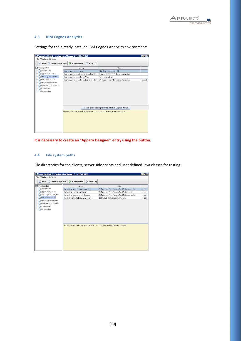

#### **4.3 IBM Cognos Analytics**

Settings for the already installed IBM Cognos Analytics environment:

| <b>File Windows Services</b><br><b>Save</b><br>© Test Configuration<br>Start Fast Edit<br>(i) Show Loa<br>Configuration<br>Name<br>Value<br>Architecture<br>Cognos Analytics version<br>IBM Cognos Analytics 11<br>Application server<br>Cognos Analytics internal dispatcher URL<br>http://aq16:9300/p2pd/servlet/dispatch<br><b>BM Cognos Analytics</b><br>Cognos Analytics Gateway URL<br>/ibmcognos/bi/v1<br>File system paths<br>Cognos Analytics Gateway home directory<br>c:\Program Files\ibm\cognos\analytics<br>select<br>Web security system<br>eMail security system | Apparo Fast Edit 3 - Configuration Manager 3.163-SNAPSHOT |  | $ \Box$ $\times$ |
|----------------------------------------------------------------------------------------------------------------------------------------------------------------------------------------------------------------------------------------------------------------------------------------------------------------------------------------------------------------------------------------------------------------------------------------------------------------------------------------------------------------------------------------------------------------------------------|-----------------------------------------------------------|--|------------------|
|                                                                                                                                                                                                                                                                                                                                                                                                                                                                                                                                                                                  |                                                           |  |                  |
|                                                                                                                                                                                                                                                                                                                                                                                                                                                                                                                                                                                  |                                                           |  |                  |
|                                                                                                                                                                                                                                                                                                                                                                                                                                                                                                                                                                                  |                                                           |  |                  |
|                                                                                                                                                                                                                                                                                                                                                                                                                                                                                                                                                                                  |                                                           |  |                  |
|                                                                                                                                                                                                                                                                                                                                                                                                                                                                                                                                                                                  |                                                           |  |                  |
|                                                                                                                                                                                                                                                                                                                                                                                                                                                                                                                                                                                  |                                                           |  |                  |
|                                                                                                                                                                                                                                                                                                                                                                                                                                                                                                                                                                                  |                                                           |  |                  |
|                                                                                                                                                                                                                                                                                                                                                                                                                                                                                                                                                                                  |                                                           |  |                  |
|                                                                                                                                                                                                                                                                                                                                                                                                                                                                                                                                                                                  |                                                           |  |                  |
|                                                                                                                                                                                                                                                                                                                                                                                                                                                                                                                                                                                  | Repository                                                |  |                  |
| License key                                                                                                                                                                                                                                                                                                                                                                                                                                                                                                                                                                      |                                                           |  |                  |
|                                                                                                                                                                                                                                                                                                                                                                                                                                                                                                                                                                                  |                                                           |  |                  |
|                                                                                                                                                                                                                                                                                                                                                                                                                                                                                                                                                                                  |                                                           |  |                  |
|                                                                                                                                                                                                                                                                                                                                                                                                                                                                                                                                                                                  |                                                           |  |                  |
|                                                                                                                                                                                                                                                                                                                                                                                                                                                                                                                                                                                  |                                                           |  |                  |
| Create Apparo Designer entry into IBM Cognos Portal                                                                                                                                                                                                                                                                                                                                                                                                                                                                                                                              |                                                           |  |                  |
| Please select the already installed and running IBM Cognos Analytics version.                                                                                                                                                                                                                                                                                                                                                                                                                                                                                                    |                                                           |  |                  |
|                                                                                                                                                                                                                                                                                                                                                                                                                                                                                                                                                                                  |                                                           |  |                  |
|                                                                                                                                                                                                                                                                                                                                                                                                                                                                                                                                                                                  |                                                           |  |                  |
|                                                                                                                                                                                                                                                                                                                                                                                                                                                                                                                                                                                  |                                                           |  |                  |
|                                                                                                                                                                                                                                                                                                                                                                                                                                                                                                                                                                                  |                                                           |  |                  |
|                                                                                                                                                                                                                                                                                                                                                                                                                                                                                                                                                                                  |                                                           |  |                  |
|                                                                                                                                                                                                                                                                                                                                                                                                                                                                                                                                                                                  |                                                           |  |                  |

#### **It is necessary to create an "Apparo Designer" entry using the button.**

#### **4.4 File system paths**

File directories for the clients, server side scripts and user defined Java classes for testing:

| Apparo Fast Edit 3 - Configuration Manager 3.163-SNAPSHOT |                                      |               |                                                                                   | $\Box$ DIX |
|-----------------------------------------------------------|--------------------------------------|---------------|-----------------------------------------------------------------------------------|------------|
| <b>File Windows Services</b>                              |                                      |               |                                                                                   |            |
| <b>B</b> Save<br><b>Test Configuration</b><br>⊙           | <b>Start Fast Edit</b><br>$\Omega$   | Show Log<br>⋒ |                                                                                   |            |
| Configuration                                             | Name                                 |               | Value                                                                             |            |
| Architecture                                              | File path to batch/executeable files |               | C:\Program Files\Apparo\FastEdit\user scripts                                     | select     |
| Application server                                        | File path to client definitions      |               | C:\Program Files\Apparo\FastEdit\clients                                          | select     |
| <b>BM Cognos Analytics</b>                                | File path to java user exit classes  |               | C:\Program Files\Apparo\FastEdit\user_scripts                                     | select     |
| File system paths                                         | Oracle Client path to tnsnames.ora   |               | \$ORACLE_HOME/network/admin                                                       | select     |
| Web security system                                       |                                      |               |                                                                                   |            |
| eMail security system                                     |                                      |               |                                                                                   |            |
| Repository<br>License key                                 |                                      |               |                                                                                   |            |
|                                                           |                                      |               |                                                                                   |            |
|                                                           |                                      |               |                                                                                   |            |
|                                                           |                                      |               |                                                                                   |            |
|                                                           |                                      |               |                                                                                   |            |
|                                                           |                                      |               |                                                                                   |            |
|                                                           |                                      |               | The file system paths are used for executing of scripts and java testing classes. |            |
|                                                           |                                      |               |                                                                                   |            |
|                                                           |                                      |               |                                                                                   |            |
|                                                           |                                      |               |                                                                                   |            |
|                                                           |                                      |               |                                                                                   |            |
|                                                           |                                      |               |                                                                                   |            |
|                                                           |                                      |               |                                                                                   |            |
|                                                           |                                      |               |                                                                                   |            |
|                                                           |                                      |               |                                                                                   |            |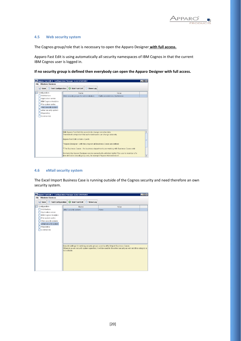

#### **4.5 Web security system**

The Cognos group/role that is necessary to open the Apparo Designer **with full access.**

Apparo Fast Edit is using automatically all security namespaces of IBM Cognos in that the current IBM Cognos user is logged in.

**If no security group is defined then everybody can open the Apparo Designer with full access.**



#### **4.6 eMail security system**

The Excel Import Business Case is running outside of the Cognos security and need therefore an own security system.

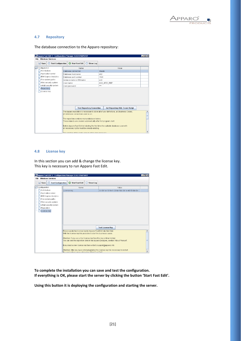

#### **4.7 Repository**

The database connection to the Apparo repository:

| Apparo Fast Edit 3 - Configuration Manager 3.163-SNAPSHOT |                                                                    |      |                                   |        |                                                                                          | $\Box$ ol $\times$ |
|-----------------------------------------------------------|--------------------------------------------------------------------|------|-----------------------------------|--------|------------------------------------------------------------------------------------------|--------------------|
| <b>Windows Services</b><br><b>File</b>                    |                                                                    |      |                                   |        |                                                                                          |                    |
| <b>Save</b><br>$\odot$                                    | Test Configuration <b>C</b> Start Fast Edit                        |      | (i) Show Log                      |        |                                                                                          |                    |
| Configuration                                             |                                                                    | Name |                                   |        | Value                                                                                    |                    |
| Architecture                                              | Database connection                                                |      |                                   | Oracle |                                                                                          |                    |
| Application server                                        | Database host name                                                 |      |                                   | db2    |                                                                                          |                    |
| <b>IBM Cognos Analytics</b>                               | Database port number                                               |      |                                   | 1521   |                                                                                          |                    |
| File system paths                                         | Instance name or DB name                                           |      |                                   | orcl   |                                                                                          |                    |
| Web security system                                       | <b>User name</b>                                                   |      |                                   |        | AQ3_AFE3_REP                                                                             |                    |
| eMail security system                                     | User password                                                      |      |                                   | ***    |                                                                                          |                    |
| Repository                                                |                                                                    |      |                                   |        |                                                                                          |                    |
| _icense key                                               |                                                                    |      |                                   |        |                                                                                          |                    |
|                                                           |                                                                    |      |                                   |        |                                                                                          |                    |
|                                                           |                                                                    |      |                                   |        |                                                                                          |                    |
|                                                           |                                                                    |      |                                   |        |                                                                                          |                    |
|                                                           |                                                                    |      |                                   |        |                                                                                          |                    |
|                                                           |                                                                    |      | <b>Test Repository Connection</b> |        | <b>Get Repository SQL Create Script</b>                                                  |                    |
|                                                           |                                                                    |      |                                   |        | The Apparo repository is necessary to store all of your definitions, all Business Cases, |                    |
|                                                           | all database connections and so on.                                |      |                                   |        |                                                                                          |                    |
|                                                           | The repository contains many database tables.                      |      |                                   |        |                                                                                          |                    |
|                                                           | These objects are created automatically after first program start. |      |                                   |        |                                                                                          |                    |
|                                                           |                                                                    |      |                                   |        |                                                                                          |                    |
|                                                           |                                                                    |      |                                   |        | Before Apparo Fast Edit ist starting the first time the suitable database user with      |                    |
|                                                           | all necessary rights must be already existing.                     |      |                                   |        |                                                                                          |                    |
|                                                           | The spection of this leain user must be done menually              |      |                                   |        |                                                                                          |                    |

#### **4.8 License key**

In this section you can add & change the license key. This key is necessary to run Apparo Fast Edit.

| Apparo Fast Edit 3 - Configuration Manager 3.163-SNAPSHOT |                                                                                                                                             |                      |                         |                                                | $\Box$ o $\times$ |
|-----------------------------------------------------------|---------------------------------------------------------------------------------------------------------------------------------------------|----------------------|-------------------------|------------------------------------------------|-------------------|
| <b>File Windows Services</b>                              |                                                                                                                                             |                      |                         |                                                |                   |
| <b>Save</b><br><b>Test Configuration</b><br>$\circ$       | Start Fast Edit                                                                                                                             | Show Log<br>$\Omega$ |                         |                                                |                   |
| Configuration                                             | Name                                                                                                                                        |                      |                         | Value                                          |                   |
| Architecture                                              | License kev                                                                                                                                 |                      |                         | 3c-80-1a-18-54-1-33-6c-f-bd-36-1c-40-51-bb-8e- |                   |
| Application server                                        |                                                                                                                                             |                      |                         |                                                |                   |
| IBM Cognos Analytics                                      |                                                                                                                                             |                      |                         |                                                |                   |
| File system paths                                         |                                                                                                                                             |                      |                         |                                                |                   |
| Web security system<br>eMail security system              |                                                                                                                                             |                      |                         |                                                |                   |
| Repository                                                |                                                                                                                                             |                      |                         |                                                |                   |
| License key                                               |                                                                                                                                             |                      |                         |                                                |                   |
|                                                           |                                                                                                                                             |                      |                         |                                                |                   |
|                                                           |                                                                                                                                             |                      |                         |                                                |                   |
|                                                           |                                                                                                                                             |                      |                         |                                                |                   |
|                                                           |                                                                                                                                             |                      |                         |                                                |                   |
|                                                           |                                                                                                                                             |                      | <b>Test License Key</b> |                                                |                   |
|                                                           | Please paste the license key for Apparo Fast Edit into this field.                                                                          |                      |                         |                                                |                   |
|                                                           | With the license key it is possible to start the business cases.                                                                            |                      |                         |                                                |                   |
|                                                           | Attention: If you use a trial license key then this key is time limited.                                                                    |                      |                         |                                                |                   |
|                                                           | You can see the expiration date in the Apparo Designer, section "About Product".                                                            |                      |                         |                                                |                   |
|                                                           |                                                                                                                                             |                      |                         |                                                |                   |
|                                                           | If you need a new license key then write to support@apparo.info                                                                             |                      |                         |                                                |                   |
|                                                           | Attention: After you have entered/updated the license key it is necessary to restart<br>the englisetian connectible button "Phot Foot Fill" |                      |                         |                                                |                   |

**To complete the installation you can save and test the configuration. If everything is OK, please start the server by clicking the button 'Start Fast Edit'.**

**Using this button it is deploying the configuration and starting the server.**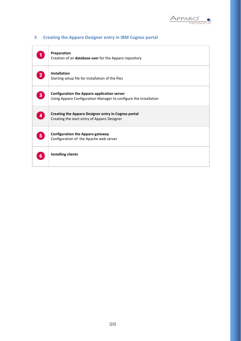

|    | Preparation<br>Creation of an database user for the Apparo repository                                                  |
|----|------------------------------------------------------------------------------------------------------------------------|
|    | <b>Installation</b><br>Starting setup file for installation of the files                                               |
|    | <b>Configuration the Apparo application server</b><br>Using Apparo Configuration Manager to configure the installation |
|    | <b>Creating the Apparo Designer entry in Cognos portal</b><br>Creating the start entry of Apparo Designer              |
| 5. | <b>Configuration the Apparo gateway</b><br>Configuration of the Apache web server                                      |
|    | <b>Installing clients</b>                                                                                              |

## **5 Creating the Apparo Designer entry in IBM Cognos portal**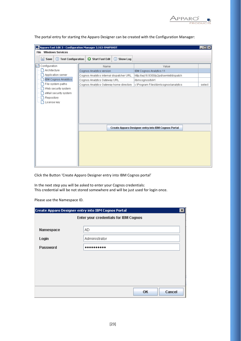

| Apparo Fast Edit 3 - Configuration Manager 3.163-SNAPSHOT<br><b>Windows Services</b><br><b>File</b> |                              |                 |                                          |                                                     | $\Box$ olxi |
|-----------------------------------------------------------------------------------------------------|------------------------------|-----------------|------------------------------------------|-----------------------------------------------------|-------------|
| H<br><b>C</b> Test Configuration<br>Save                                                            | $\mathbf o$                  | Start Fast Edit | (i) Show Log                             |                                                     |             |
| Configuration                                                                                       |                              | Name            |                                          | Value                                               |             |
| Architecture                                                                                        | Cognos Analytics version     |                 |                                          | IBM Cognos Analytics 11                             |             |
| Application server                                                                                  |                              |                 | Cognos Analytics internal dispatcher URL | http://aq16:9300/p2pd/servlet/dispatch              |             |
| <b>IBM Cognos Analytics</b>                                                                         | Cognos Analytics Gateway URL |                 |                                          | /ibmcognos/bi/v1                                    |             |
| File system paths                                                                                   |                              |                 | Cognos Analytics Gateway home directory  | c:\Program Files\ibm\cognos\analytics               | select      |
| Web security system                                                                                 |                              |                 |                                          |                                                     |             |
| eMail security system                                                                               |                              |                 |                                          |                                                     |             |
| Repository                                                                                          |                              |                 |                                          |                                                     |             |
| License key                                                                                         |                              |                 |                                          |                                                     |             |
|                                                                                                     |                              |                 |                                          |                                                     |             |
|                                                                                                     |                              |                 |                                          |                                                     |             |
|                                                                                                     |                              |                 |                                          |                                                     |             |
|                                                                                                     |                              |                 |                                          |                                                     |             |
|                                                                                                     |                              |                 |                                          | Create Apparo Designer entry into IBM Cognos Portal |             |
|                                                                                                     |                              |                 |                                          |                                                     |             |
|                                                                                                     |                              |                 |                                          |                                                     |             |
|                                                                                                     |                              |                 |                                          |                                                     |             |
|                                                                                                     |                              |                 |                                          |                                                     |             |
|                                                                                                     |                              |                 |                                          |                                                     |             |
|                                                                                                     |                              |                 |                                          |                                                     |             |
|                                                                                                     |                              |                 |                                          |                                                     |             |

The portal entry for starting the Apparo Designer can be created with the Configuration Manager:

Click the Button 'Create Apparo Designer entry into IBM Cognos portal'

In the next step you will be asked to enter your Cognos credentials: This credential will be not stored somewhere and will be just used for login once.

Please use the Namespace ID.

|                 | Create Apparo Designer entry into IBM Cognos Portal | $\boldsymbol{\mathsf{x}}$ |
|-----------------|-----------------------------------------------------|---------------------------|
|                 | Enter your credentials for IBM Cognos               |                           |
|                 |                                                     |                           |
| Namespace       | AD.                                                 |                           |
| Login           | Administrator                                       |                           |
| <b>Password</b> |                                                     |                           |
|                 |                                                     |                           |
|                 |                                                     |                           |
|                 |                                                     |                           |
|                 |                                                     |                           |
|                 | Cancel<br><b>OK</b>                                 |                           |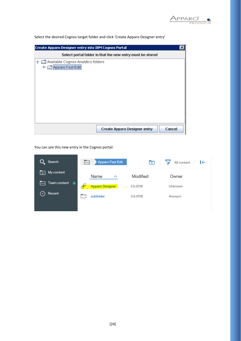

Select the desired Cognos target folder and click 'Create Apparo Designer entry'

| <b>Create Apparo Designer entry into IBM Cognos Portal</b>                 | × |
|----------------------------------------------------------------------------|---|
| Select portal folder in that the new entry must be stored                  |   |
| P <del>D</del> Available Cognos Analytics folders<br>Apparo Fast Edit<br>⊶ |   |
|                                                                            |   |
| Cancel<br><b>Create Apparo Designer entry</b>                              |   |

You can see this new entry in the Cognos portal:

| Search                                             | Apparo Fast Edit<br>$\overline{\cdots}$ | $\overline{+}$ | All content<br>I←<br>ነấ |
|----------------------------------------------------|-----------------------------------------|----------------|-------------------------|
| My content<br>তি                                   | Name<br>$\hat{\phantom{1}}$             | Modified       | Owner                   |
| Team content <sup>1</sup><br>$\overline{ \cdots }$ | <b>Apparo Designer</b>                  | 2.6.2016       | Unknown                 |
| Recent<br>$\checkmark$                             | subfolder                               | 3.6.2016       | Anonym                  |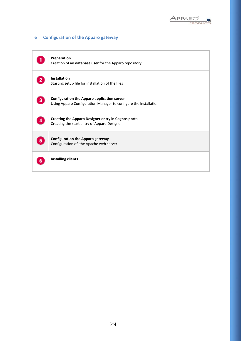

## **6 Configuration of the Apparo gateway**

|   | Preparation<br>Creation of an database user for the Apparo repository                                                  |
|---|------------------------------------------------------------------------------------------------------------------------|
|   | <b>Installation</b><br>Starting setup file for installation of the files                                               |
|   | <b>Configuration the Apparo application server</b><br>Using Apparo Configuration Manager to configure the installation |
|   | <b>Creating the Apparo Designer entry in Cognos portal</b><br>Creating the start entry of Apparo Designer              |
| 5 | <b>Configuration the Apparo gateway</b><br>Configuration of the Apache web server                                      |
|   | <b>Installing clients</b>                                                                                              |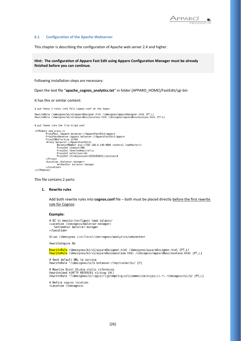

#### **6.1 Configuration of the Apache Webserver**

This chapter is describing the configuration of Apache web server 2.4 and higher.

**Hint: The configuration of Apparo Fast Edit using Apparo Configuration Manager must be already finished before you can continue.**

Following installation steps are necessary:

Open the text file "**apache\_cognos\_analytics.txt**" in folder [APPARO\_HOME]/FastEdit/cgi-bin

It has this or similar content:

# put these 2 rules into file cognos.conf at the begin

RewriteRule /ibmcognos/bi/v1/apparoDesigner.html /ibmcognos/apparoDesigner.html [PT.L] RewriteRule /ibmcognos/bi/v1/apparoBusinessCase.html /ibmcognos/apparoBusinessCase.html [PT,L]

# put these into the file httpd.conf

```
<IfModule mod_proxy.c>
           ProxyPass /apparo balancer://ApparoFastEdit/apparo<br>ProxyPassReverse /apparo balancer://ApparoFastEdit/apparo
           ProxyIOBufferSize 32768<br><ProxyIOBufferSize 32768
                       batance://Apparteras.com/<br>BalancerMember ajp://192.168.0.140:9800 route=s1 loadfactor=1<br>ProxySet timeout=300<br>ProxySet lbmethod=bytraffic
                       ProxySet nofailover=On
                       ProxySet stickysession=JSESSIONID|jsessionid
            </Proxy>
           </rroxy><br><Location /balancer-manager>
                       SetHandler balancer-manager
            </Location>
</IfModule>
```
This file contains 2 parts:

#### **1. Rewrite rules**

Add both rewrite rules into **cognos.conf** file – both must be placed directly before the first rewrite rule for Cognos:

#### **Example:**

```
# UI to monitor/configure load balancer
<Location /ibmcognos/balancer-manager>
   SetHandler balancer-manager
</Location>
```
Alias /ibmcognos /usr/local/ibm/cognos/analytics/webcontent

RewriteEngine On

RewriteRule /ibmcognos/bi/vl/apparoDesigner.html /ibmcognos/apparoDesigner.html [PT,L] RewriteRule /ibmcognos/bi/v1/apparoBusinessCase.html /ibmcognos/apparoBusinessCase.html [PT,L]

```
# Send default URL to service
RewriteRule ^/ibmcognos/bi/$ balancer://mycluster/bi/ [P]
```

```
# Rewrite Event Studio static references
RewriteCond %{HTTP_REFERER} v1/disp [NC]
RewriteRule ^/ibmcognos/bi/(ags|crl|prompting|ccl|common|skins|ps)/(.*) /ibmcognos/$1/$2 [PT,L]
```
# Define cognos location <Location /ibmcognos>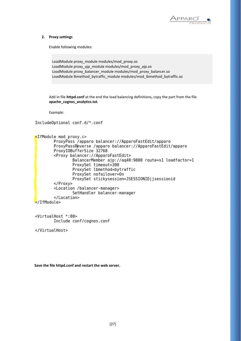

#### **2. Proxy settings**

Enable following modules:

```
LoadModule proxy_module modules/mod_proxy.so
LoadModule proxy_ajp_module modules/mod_proxy_ajp.so
LoadModule proxy_balancer_module modules/mod_proxy_balancer.so
LoadModule lbmethod_bytraffic_module modules/mod_lbmethod_bytraffic.so
```
Add in file **httpd.conf** at the end the load balancing definitions, copy the part from the file **apache\_cognos\_analytics.txt**.

Example:

IncludeOptional conf.d/\*.conf

```
<IfModule mod proxy.c>
        ProxyPass /apparo balancer://ApparoFastEdit/apparo
        ProxyPassReverse /apparo balancer://ApparoFastEdit/apparo
        ProxyI0BufferSize 32768
        <Proxy balancer://ApparoFastEdit>
                BalancerMember ajp://aq40:9800 route=s1 loadfactor=1
                ProxySet timeout=300
                ProxySet lbmethod=bytraffic
                ProxySet nofailover=On
                ProxySet stickysession=JSESSIONID|jsessionid
        </Proxy>
        <Location /balancer-manager>
                SetHandler balancer-manager
        </Location>
</IfModule>
```
<VirtualHost \*:80> Include conf/cognos.conf

</VirtualHost>

```
Save the file httpd.conf and restart the web server.
```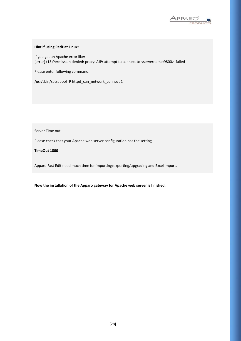

#### **Hint if using RedHat Linux:**

If you get an Apache error like: [error] (13)Permission denied: proxy: AJP: attempt to connect to <servername:9800> failed

Please enter following command:

/usr/sbin/setsebool -P httpd\_can\_network\_connect 1

Server Time out:

Please check that your Apache web server configuration has the setting

#### **TimeOut 1800**

Apparo Fast Edit need much time for importing/exporting/upgrading and Excel import.

**Now the installation of the Apparo gateway for Apache web server is finished.**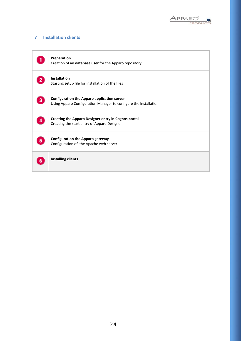

## **7 Installation clients**

|   | Preparation<br>Creation of an database user for the Apparo repository                                                  |
|---|------------------------------------------------------------------------------------------------------------------------|
|   | <b>Installation</b><br>Starting setup file for installation of the files                                               |
| 3 | <b>Configuration the Apparo application server</b><br>Using Apparo Configuration Manager to configure the installation |
|   | <b>Creating the Apparo Designer entry in Cognos portal</b><br>Creating the start entry of Apparo Designer              |
|   | <b>Configuration the Apparo gateway</b><br>Configuration of the Apache web server                                      |
|   | <b>Installing clients</b>                                                                                              |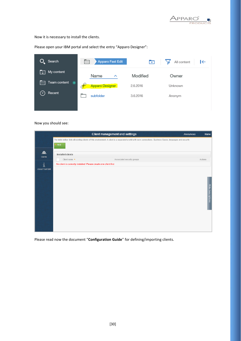

Now it is necessary to install the clients.

ł

Please open your IBM portal and select the entry "Apparo Designer":

| $Q_{\bullet}$ Search                                | Apparo Fast Edit<br>$\boxed{\cdots}$ | $\Box$   | All content<br>$\left  \leftarrow \right.$ |
|-----------------------------------------------------|--------------------------------------|----------|--------------------------------------------|
| My content<br>1 Q I                                 | Name<br>ㅅ                            | Modified | Owner                                      |
| Team content <sup>O</sup><br>$\lceil \cdots \rceil$ | <b>Apparo Designer</b>               | 2.6.2016 | Unknown                                    |
| Recent                                              | subfolder                            | 3.6.2016 | Anonym                                     |
|                                                     |                                      |          |                                            |

Now you should see:

|                        | <b>Client management and settings</b>                                                                                                                         | Anonymous | Home                     |
|------------------------|---------------------------------------------------------------------------------------------------------------------------------------------------------------|-----------|--------------------------|
|                        | The table bellow lists all existing clients of this environment. A client is a separated w orld with own connections, Business Cases, languages and security. |           |                          |
|                        | Add                                                                                                                                                           |           |                          |
| 盘<br><b>Clients</b>    | <b>Installed clients</b>                                                                                                                                      |           |                          |
|                        | Associated security groups<br>Client name $\triangle$                                                                                                         |           | Actions                  |
| i                      | No client is currently installed. Please create one client first.                                                                                             |           |                          |
| <b>About Fast Edit</b> |                                                                                                                                                               |           |                          |
|                        |                                                                                                                                                               |           |                          |
|                        |                                                                                                                                                               |           |                          |
|                        |                                                                                                                                                               |           |                          |
|                        |                                                                                                                                                               |           | <b>Hide descriptions</b> |
|                        |                                                                                                                                                               |           |                          |
|                        |                                                                                                                                                               |           |                          |
|                        |                                                                                                                                                               |           |                          |
|                        |                                                                                                                                                               |           |                          |
|                        |                                                                                                                                                               |           |                          |
|                        |                                                                                                                                                               |           |                          |
|                        |                                                                                                                                                               |           |                          |
|                        |                                                                                                                                                               |           |                          |

Please read now the document "**Configuration Guide**" for defining/importing clients.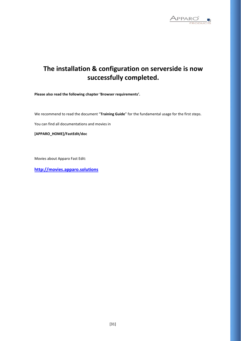

# **The installation & configuration on serverside is now successfully completed.**

**Please also read the following chapter 'Browser requirements'.**

We recommend to read the document "**Training Guide**" for the fundamental usage for the first steps.

You can find all documentations and movies in

**[APPARO\_HOME]/FastEdit/doc**

Movies about Apparo Fast Edit:

**[http://movies.apparo.solutions](http://movies.apparo.solutions/)**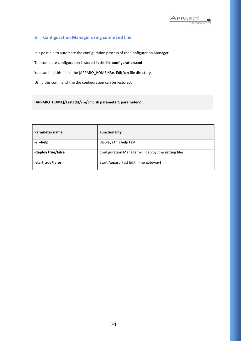

## **8 Configuration Manager using command line**

It is possible to automate the configuration process of the Configuration Manager.

The complete configuration is stored in the file **configuration.xml**

You can find this file in the [APPARO\_HOME]/FastEdit/cm file directory.

Using this command line the configuration can be restored:

**[APPARO\_HOME]/FastEdit/cm/cmc.sh parameter1 parameter2 …**

| Parameter name     | <b>Functionality</b>                                |
|--------------------|-----------------------------------------------------|
| $-?$ , $-$ help    | Displays this help text                             |
| -deploy true/false | Configuration Manager will deploy the setting files |
| -start true/false  | Start Apparo Fast Edit (if no gateway)              |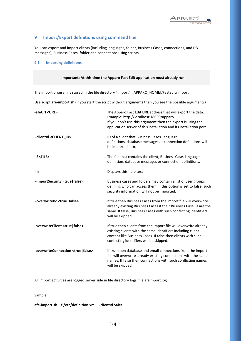

#### **9 Import/Export definitions using command line**

You can export and import clients (including languages, folder, Business Cases, connections, and DBmessages), Business Cases, folder and connections using scripts.

#### **9.1 Importing definitions**

## **Important: At this time the Apparo Fast Edit application must already run.** The import program is stored in the file directory "import": [APPARO\_HOME]/FastEdit/import Use script **afe-import.sh (**If you start the script without arguments then you see the possible arguments) **-afeUrl <URL>** The Apparo Fast Edit URL address that will export the data. Example: http://localhost:18000/apparo. If you don't use this argument then the export is using the application server of this installation and its installation port. **-clientId <CLIENT\_ID>** ID of a client that Business Cases, language definitions, database messages or connection definitions will be imported into. **-f <FILE>** The file that contains the client, Business Case, language definition, database messages or connection definitions. **-h** Displays this help text **-importSecurity <true|false>** Business cases and folders may contain a list of user groups defining who can access them. If this option is set to false, such security information will not be imported. **-overwriteBc <true|false>** If true then Business Cases from the import file will overwrite already existing Business Cases if their Business Case ID are the same. If false, Business Cases with such conflicting identifiers will be skipped. **-overwriteClient <true|false>** If true then clients from the import file will overwrite already existing clients with the same identifiers including client content like Business Cases. If false then clients with such conflicting identifiers will be skipped. **-overwriteConnection <true|false>** If true then database and email connections from the import file will overwrite already existing connections with the same names. If false then connections with such conflicting names will be skipped.

All import activities are logged server side in file directory logs, file afeimport.log

Sample:

**afe-import.sh –f /etc/definition.xml -clientId Sales**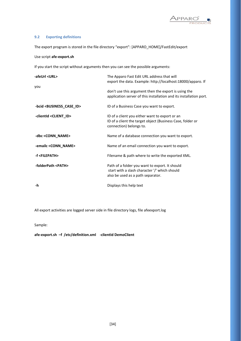

#### **9.2 Exporting definitions**

The export program is stored in the file directory "export": [APPARO\_HOME]/FastEdit/export

#### Use script **afe-export.sh**

If you start the script without arguments then you can see the possible arguments:

| -afeUrl <url></url>                         | The Apparo Fast Edit URL address that will<br>export the data. Example: http://localhost:18000/apparo. If                               |
|---------------------------------------------|-----------------------------------------------------------------------------------------------------------------------------------------|
| vou                                         | don't use this argument then the export is using the<br>application server of this installation and its installation port.              |
| -bcid <business_case_id></business_case_id> | ID of a Business Case you want to export.                                                                                               |
| -clientId <client_id></client_id>           | ID of a client you either want to export or an<br>ID of a client the target object (Business Case, folder or<br>connection) belongs to. |
| -dbc <conn_name></conn_name>                | Name of a database connection you want to export.                                                                                       |
| -emailc <conn_name></conn_name>             | Name of an email connection you want to export.                                                                                         |
| -f <filepath></filepath>                    | Filename & path where to write the exported XML.                                                                                        |
| -folderPath <path></path>                   | Path of a folder you want to export. It should<br>start with a slash character '/' which should<br>also be used as a path separator.    |
| -h                                          | Displays this help text                                                                                                                 |

All export activities are logged server side in file directory logs, file afeexport.log

Sample:

**afe-export.sh –f /etc/definition.xml -clientId DemoClient**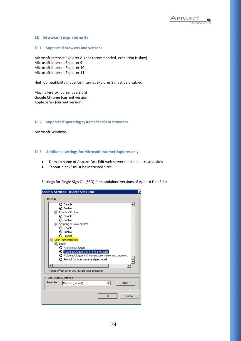

#### **10 Browser requirements**

#### **10.1 Supported browsers and versions**

Microsoft Internet Explorer 8 (not recommended, execution is slow) Microsoft Internet Explorer 9 Microsoft Internet Explorer 10 Microsoft Internet Explorer 11

Hint: Compatibility mode for Internet Explorer 8 must be disabled.

Mozilla Firefox (current version) Google Chrome (current version) Apple Safari (current version)

#### **10.2 Supported operating systems for client browsers**

Microsoft Windows

#### **10.3 Additional settings for Microsoft Internet Explorer only**

- Domain name of Apparo Fast Edit web server must be in trusted sites
- "about:blank" must be in trusted sites

Settings for Single Sign On (SSO) for standalone versions of Apparo Fast Edit:

| <b>Security Settings - Trusted Sites Zone</b>                  | × |
|----------------------------------------------------------------|---|
| Settings                                                       |   |
|                                                                |   |
| $\Omega$ Disable                                               |   |
| ⊙ Enable                                                       |   |
| 写 Enable XSS filter                                            |   |
| ⊙ Disable                                                      |   |
| $\Omega$ Enable                                                |   |
| 氢 Scripting of Java applets                                    |   |
| $\Omega$ Disable                                               |   |
| ⊙ Enable                                                       |   |
| O Prompt                                                       |   |
| <mark>線</mark> User Authentication                             |   |
| <b>SA</b> Logon                                                |   |
| O Anonymous logon                                              |   |
| Automatic logon only in Intranet zone                          |   |
| $\bigcirc$ Automatic logon with current user name and password |   |
| $\Omega$ Prompt for user name and password                     |   |
|                                                                |   |
|                                                                |   |
| *Takes effect after you restart your computer                  |   |
| Reset custom settings                                          |   |
| Reset to:<br>Reset                                             |   |
| Medium (default)                                               |   |
|                                                                |   |
|                                                                |   |
| Cancel<br>OK                                                   |   |
|                                                                |   |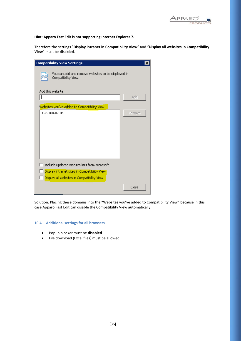

**Hint: Apparo Fast Edit is not supporting Internet Explorer 7.**

Therefore the settings "**Display intranet in Compatibility View**" and "**Display all websites in Compatibility View**" must be **disabled**.

| <b>Compatibility View Settings</b>                                                          |        |  |  |
|---------------------------------------------------------------------------------------------|--------|--|--|
| You can add and remove websites to be displayed in<br>Compatibility View.                   |        |  |  |
| Add this website:                                                                           | Add    |  |  |
| Websites you've added to Compatibility View:                                                |        |  |  |
| 192.168.0.104                                                                               | Remove |  |  |
|                                                                                             |        |  |  |
|                                                                                             |        |  |  |
|                                                                                             |        |  |  |
| Include updated website lists from Microsoft                                                |        |  |  |
| Display intranet sites in Compatibility View.<br>Display all websites in Compatibility View |        |  |  |
|                                                                                             | Close  |  |  |

Solution: Placing these domains into the "Websites you've added to Compatibility View" because in this case Apparo Fast Edit can disable the Compatibility View automatically.

#### **10.4 Additional settings for all browsers**

- Popup blocker must be **disabled**
- File download (Excel files) must be allowed